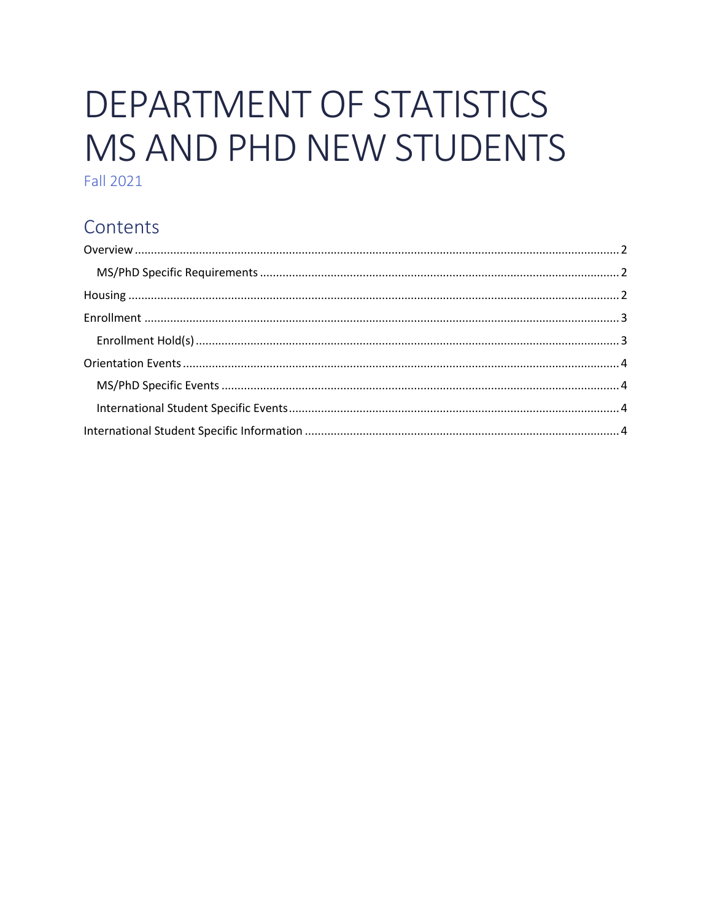# DEPARTMENT OF STATISTICS MS AND PHD NEW STUDENTS

**Fall 2021** 

## Contents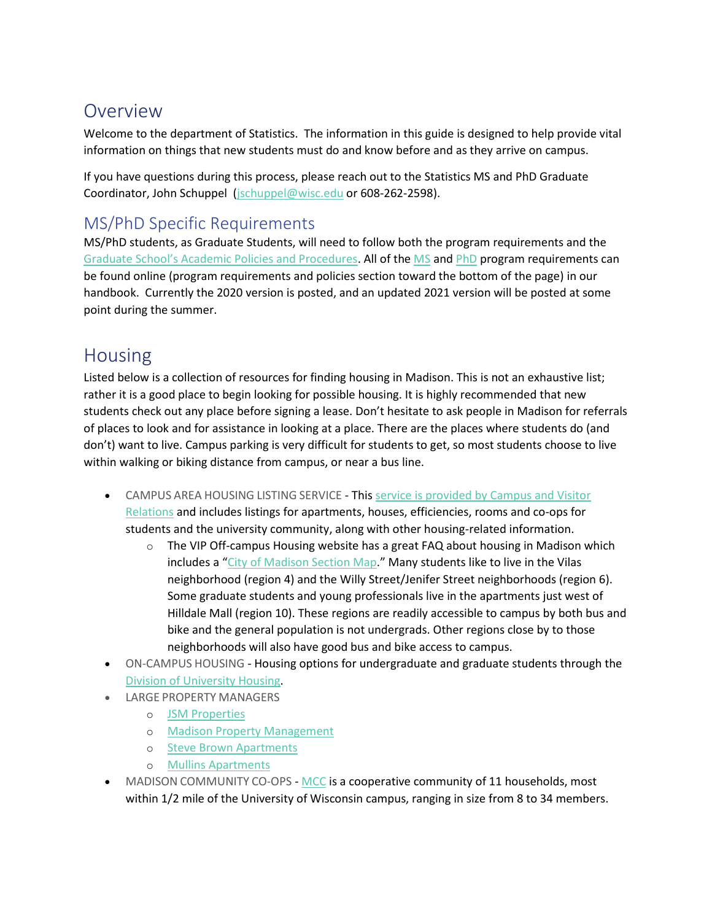## <span id="page-1-0"></span>Overview

Welcome to the department of Statistics. The information in this guide is designed to help provide vital information on things that new students must do and know before and as they arrive on campus.

If you have questions during this process, please reach out to the Statistics MS and PhD Graduate Coordinator, John Schuppel [\(jschuppel@wisc.edu](mailto:jschuppel@wisc.edu) or 608-262-2598).

## <span id="page-1-1"></span>MS/PhD Specific Requirements

MS/PhD students, as Graduate Students, will need to follow both the program requirements and the [Graduate School's Academic Policies and Procedures](https://grad.wisc.edu/acadpolicy/). All of the [MS](https://stat.wisc.edu/graduate-studies/ms-program/) and [PhD](https://stat.wisc.edu/graduate-studies/phd-program/) program requirements can be found online (program requirements and policies section toward the bottom of the page) in our handbook. Currently the 2020 version is posted, and an updated 2021 version will be posted at some point during the summer.

# <span id="page-1-2"></span>Housing

Listed below is a collection of resources for finding housing in Madison. This is not an exhaustive list; rather it is a good place to begin looking for possible housing. It is highly recommended that new students check out any place before signing a lease. Don't hesitate to ask people in Madison for referrals of places to look and for assistance in looking at a place. There are the places where students do (and don't) want to live. Campus parking is very difficult for students to get, so most students choose to live within walking or biking distance from campus, or near a bus line.

- CAMPUS AREA HOUSING LISTING SERVICE This service is provided by Campus and Visitor [Relations](https://campusareahousing.wisc.edu/) and includes listings for apartments, houses, efficiencies, rooms and co-ops for students and the university community, along with other housing-related information.
	- $\circ$  The VIP Off-campus Housing website has a great FAQ about housing in Madison which includes a "[City of Madison Section Map](https://campusareahousing.wisc.edu/resources)." Many students like to live in the Vilas neighborhood (region 4) and the Willy Street/Jenifer Street neighborhoods (region 6). Some graduate students and young professionals live in the apartments just west of Hilldale Mall (region 10). These regions are readily accessible to campus by both bus and bike and the general population is not undergrads. Other regions close by to those neighborhoods will also have good bus and bike access to campus.
- ON-CAMPUS HOUSING Housing options for undergraduate and graduate students through the [Division of University Housing.](http://www.housing.wisc.edu/)
- LARGE PROPERTY MANAGERS
	- o [JSM Properties](http://www.jsmproperties.com/)
	- o [Madison Property](http://www.madisonproperty.com/) Management
	- o [Steve Brown Apartments](https://stevebrownapts.com/)
	- o [Mullins Apartments](http://mullinsapartments.com/)
- MADISON COMMUNITY CO-OPS [MCC](http://madisoncommunity.coop/) is a cooperative community of 11 households, most within 1/2 mile of the University of Wisconsin campus, ranging in size from 8 to 34 members.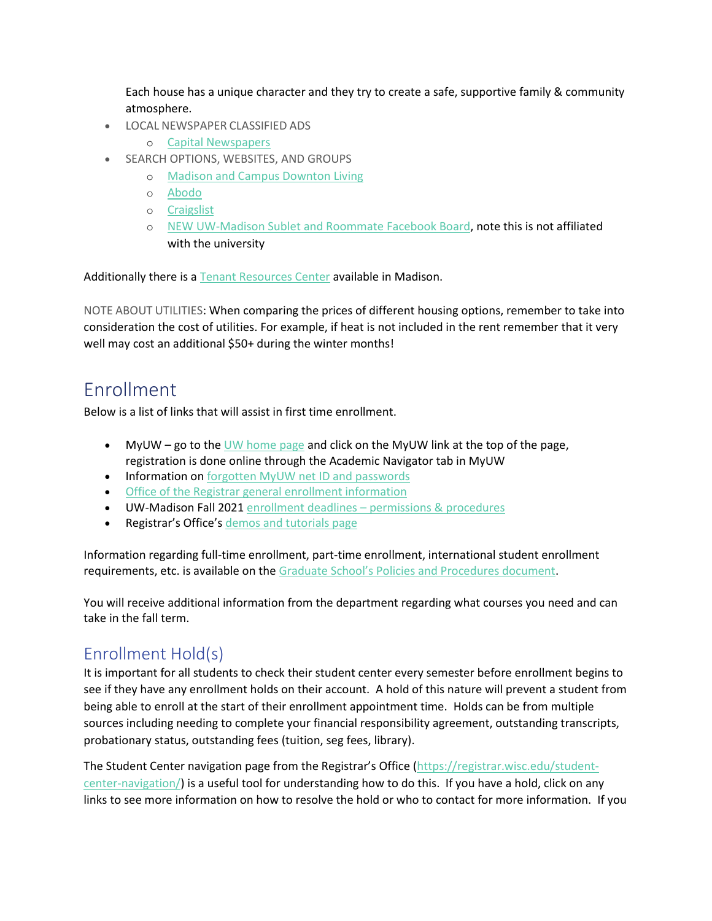Each house has a unique character and they try to create a safe, supportive family & community atmosphere.

- LOCAL NEWSPAPER CLASSIFIED ADS
	- o [Capital Newspapers](http://host.madison.com/ads/)
- SEARCH OPTIONS, WEBSITES, AND GROUPS
	- o [Madison and Campus Downton Living](https://www.madisoncampusanddowntownapartments.com/search.j?)
	- o [Abodo](https://www.abodo.com/madison-wi/university-wisconsin-madison-apartments/campus)
	- o [Craigslist](https://madison.craigslist.org/d/apts-housing-for-rent/search/apa)
	- o [NEW UW-Madison Sublet and Roommate Facebook Board,](https://www.facebook.com/groups/284165505043431/) note this is not affiliated with the university

Additionally there is a [Tenant Resources Center](http://www.tenantresourcecenter.org/) available in Madison.

NOTE ABOUT UTILITIES: When comparing the prices of different housing options, remember to take into consideration the cost of utilities. For example, if heat is not included in the rent remember that it very well may cost an additional \$50+ during the winter months!

## <span id="page-2-0"></span>Enrollment

Below is a list of links that will assist in first time enrollment.

- MyUW go to th[e UW home page](http://www.wisc.edu/) and click on the MyUW link at the top of the page, registration is done online through the Academic Navigator tab in MyUW
- Information on [forgotten MyUW net ID and passwords](http://kb.wisc.edu/helpdesk/page.php?id=2843)
- [Office of the Registrar general enrollment information](http://registrar.wisc.edu/enrollment_information.htm)
- UW-Madison Fall 2021 enrollment deadlines [permissions & procedures](https://registrar.wisc.edu/dates/)
- Registrar's Office's [demos and tutorials page](http://registrar.wisc.edu/demos.htm)

Information regarding full-time enrollment, part-time enrollment, international student enrollment requirements, etc. is available on the [Graduate School's Policies and Procedures document](https://grad.wisc.edu/documents/enrollment-requirements/).

You will receive additional information from the department regarding what courses you need and can take in the fall term.

#### <span id="page-2-1"></span>Enrollment Hold(s)

It is important for all students to check their student center every semester before enrollment begins to see if they have any enrollment holds on their account. A hold of this nature will prevent a student from being able to enroll at the start of their enrollment appointment time. Holds can be from multiple sources including needing to complete your financial responsibility agreement, outstanding transcripts, probationary status, outstanding fees (tuition, seg fees, library).

The Student Center navigation page from the Registrar's Office ([https://registrar.wisc.edu/student](https://registrar.wisc.edu/student-center-navigation/)[center-navigation/\)](https://registrar.wisc.edu/student-center-navigation/) is a useful tool for understanding how to do this. If you have a hold, click on any links to see more information on how to resolve the hold or who to contact for more information. If you